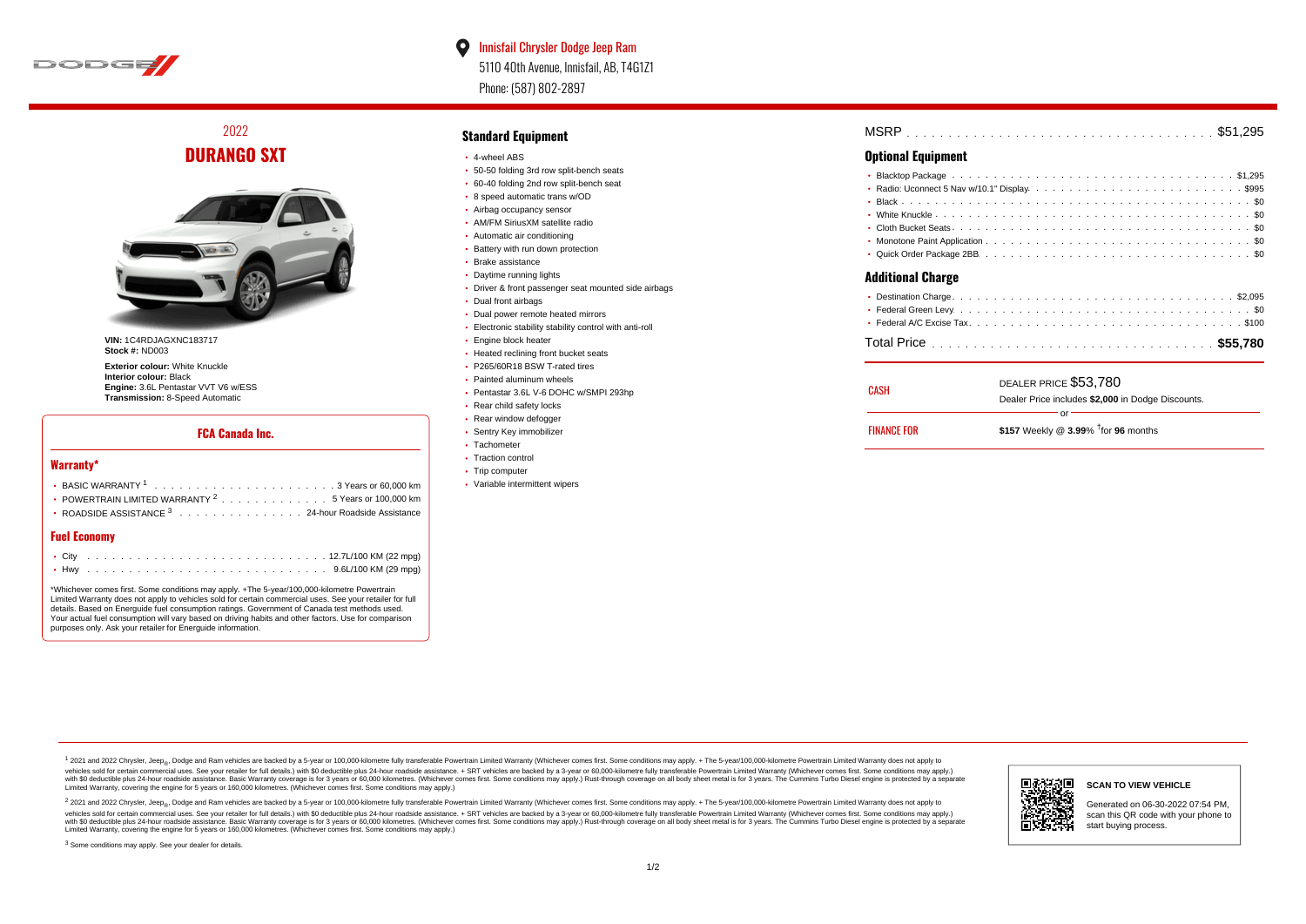

 $\bullet$ Innisfail Chrysler Dodge Jeep Ram 5110 40th Avenue, Innisfail, AB, T4G1Z1 Phone: (587) 802-2897

2022 **DURANGO SXT**



**VIN:** 1C4RDJAGXNC183717 **Stock #:** ND003

**Exterior colour:** White Knuckle **Interior colour:** Black **Engine:** 3.6L Pentastar VVT V6 w/ESS **Transmission:** 8-Speed Automatic

## **FCA Canada Inc.**

#### **Warranty\***

| • POWERTRAIN LIMITED WARRANTY $2 \ldots \ldots \ldots \ldots \ldots 5$ Years or 100,000 km |
|--------------------------------------------------------------------------------------------|
| • ROADSIDE ASSISTANCE $^3$ , , , , , , , , , , , , , , , , 24-hour Roadside Assistance     |
|                                                                                            |

## **Fuel Economy**

\*Whichever comes first. Some conditions may apply. +The 5-year/100,000-kilometre Powertrain Limited Warranty does not apply to vehicles sold for certain commercial uses. See your retailer for full details. Based on Energuide fuel consumption ratings. Government of Canada test methods used. Your actual fuel consumption will vary based on driving habits and other factors. Use for comparison purposes only. Ask your retailer for Energuide information.

## **Standard Equipment**

- 4-wheel ABS
- 50-50 folding 3rd row split-bench seats
- 60-40 folding 2nd row split-bench seat
- 8 speed automatic trans w/OD
- Airbag occupancy sensor AM/FM SiriusXM satellite radio
- Automatic air conditioning
- Battery with run down protection
- Brake assistance
- Daytime running lights
- Driver & front passenger seat mounted side airbags
- Dual front airbags
- Dual power remote heated mirrors
- Electronic stability stability control with anti-roll
- **Engine block heater**
- Heated reclining front bucket seats
- P265/60R18 BSW T-rated tires
- Painted aluminum wheels
- Pentastar 3.6L V-6 DOHC w/SMPI 293hp
- Rear child safety locks
- Rear window defogger
- Sentry Key immobilizer
- Tachometer
- Traction control • Trip computer
- 
- Variable intermittent wipers

| MSRP |  |
|------|--|
|------|--|

## **Optional Equipment**

| <b>Additional Charge</b> |
|--------------------------|
|                          |
|                          |
|                          |

### . . . . . . . . . . . . . . . . . . . . . . . . . . . . . . . . . . . . . . . . . . . . . . Total Price **\$55,780**

| CASH               | DEALER PRICE \$53,780<br>Dealer Price includes \$2,000 in Dodge Discounts. |  |  |  |  |  |  |
|--------------------|----------------------------------------------------------------------------|--|--|--|--|--|--|
|                    | nr                                                                         |  |  |  |  |  |  |
| <b>FINANCE FOR</b> | \$157 Weekly @ $3.99\%$ <sup>†</sup> for 96 months                         |  |  |  |  |  |  |

1 2021 and 2022 Chrysler, Jeep<sub>en</sub> Dodge and Ram vehicles are backed by a 5-year or 100,000-kilometre fully transferable Powertrain Limited Warranty (Whichever comes first. Some conditions may apply. + The 5-year/100,000-k vehicles sold for certain commercial uses. See your retailer for full details.) with \$0 deductible plus 24-hour roadside assistance. + SRT vehicles are backed by a 3-year or 60,000-kilometre fully transferable Powertrain L versus and contract the mean of the contract of the contract with a contract with a contract the contract of the search of the contract and a control of the contract and contract and control of the search of the search of Limited Warranty, covering the engine for 5 years or 160,000 kilometres. (Whichever comes first. Some conditions may apply.)

<sup>2</sup> 2021 and 2022 Chrysler, Jeep<sub>®</sub>, Dodge and Ram vehicles are backed by a 5-year or 100,000-kilometre fully transferable Powertrain Limited Warranty (Whichever comes first. Some conditions may apply. + The 5-year/100,000 vehicles sold for certain commercial uses. See your retailer for full details.) with SO deductible plus 24-hour roadside assistance. + SRT vehicles are backed by a 3-year or 60.000-kilometre fully transferable Powertrain. with S0 deductible plus 24-hour roadside assistance. Basic Warranty coverage is for 3 years or 60,000 kilometres. (Whichever comes first. Some conditions may apply.) Rust-through coverage on all body sheet metal is for 3 y



#### **SCAN TO VIEW VEHICLE**

Generated on 06-30-2022 07:54 PM, scan this QR code with your phone to start buying process.

<sup>3</sup> Some conditions may apply. See your dealer for details.